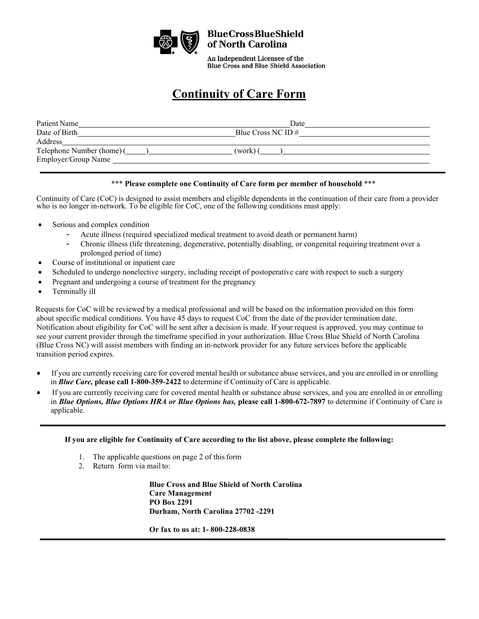

An Independent Licensee of the **Blue Cross and Blue Shield Association** 

## **Continuity of Care Form**

| Patient Name                                     | Date                 |
|--------------------------------------------------|----------------------|
| Date of Birth                                    | Blue Cross NC ID $#$ |
| Address                                          |                      |
| Telephone Number (home) (<br>Employer/Group Name | (work) (             |

## \*\*\* **Please complete one Continuity of Care form per member of household** \*\*\*

Continuity of Care (CoC) is designed to assist members and eligible dependents in the continuation of their care from a provider who is no longer in-network. To be eligible for CoC, one of the following conditions must apply:

- Serious and complex condition
	- Acute illness (required specialized medical treatment to avoid death or permanent harm)
	- Chronic illness (life threatening, degenerative, potentially disabling, or congenital requiring treatment over a prolonged period of time)
- Course of institutional or inpatient care
- Scheduled to undergo nonelective surgery, including receipt of postoperative care with respect to such a surgery
- Pregnant and undergoing a course of treatment for the pregnancy
- Terminally ill

Requests for CoC will be reviewed by a medical professional and will be based on the information provided on this form about specific medical conditions. You have 45 days to request CoC from the date of the provider termination date. Notification about eligibility for CoC will be sent after a decision is made. If your request is approved, you may continue to see your current provider through the timeframe specified in your authorization. Blue Cross Blue Shield of North Carolina (Blue Cross NC) will assist members with finding an in-network provider for any future services before the applicable transition period expires.

- If you are currently receiving care for covered mental health or substance abuse services, and you are enrolled in or enrolling  $\bullet$ in *Blue Care,* **please call 1-800-359-2422** to determine if Continuity of Care is applicable.
- If you are currently receiving care for covered mental health or substance abuse services, and you are enrolled in or enrolling in *Blue Options, Blue Options HRA or Blue Options has,* **please call 1-800-672-7897** to determine if Continuity of Care is applicable.

**If you are eligible for Continuity of Care according to the list above, please complete the following:**

- 1. The applicable questions on page 2 of this form
- 2. Return form via mail to:

**Blue Cross and Blue Shield of North Carolina Care Management PO Box 2291 Durham, North Carolina 27702 -2291**

**Or fax to us at: 1- 800-228-0838**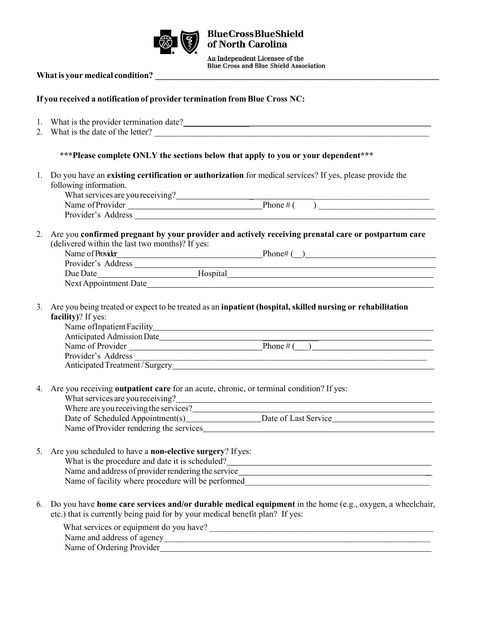

**BlueCrossBlueShield<br>of North Carolina** 

An Independent Licensee of the<br>Blue Cross and Blue Shield Association

## **What is your medical condition? \_\_\_\_\_\_\_\_\_\_\_\_\_\_\_\_\_\_\_\_\_\_\_\_\_\_\_\_\_\_\_\_\_\_\_\_\_\_\_\_\_\_\_\_\_\_\_\_\_\_\_\_\_\_\_\_\_\_\_\_\_\_\_\_\_\_**

## **If you received a notification of provider termination from Blue Cross NC:**

|    | 1. What is the provider termination date?<br><u>Letting and the provider termination</u> date?<br><u>Letting and the provider termination date?</u><br>2. What is the date of the letter?                                                                                                     |  |
|----|-----------------------------------------------------------------------------------------------------------------------------------------------------------------------------------------------------------------------------------------------------------------------------------------------|--|
|    | *** Please complete ONLY the sections below that apply to you or your dependent***                                                                                                                                                                                                            |  |
| 1. | Do you have an existing certification or authorization for medical services? If yes, please provide the<br>following information.                                                                                                                                                             |  |
|    | What services are you receiving?<br>Name of Provider Phone # ( $\overline{\phantom{a}}$ )                                                                                                                                                                                                     |  |
| 2. | Are you confirmed pregnant by your provider and actively receiving prenatal care or postpartum care<br>(delivered within the last two months)? If yes:                                                                                                                                        |  |
|    | Name of Provider Phone Phone # ( )                                                                                                                                                                                                                                                            |  |
|    |                                                                                                                                                                                                                                                                                               |  |
|    |                                                                                                                                                                                                                                                                                               |  |
|    |                                                                                                                                                                                                                                                                                               |  |
| 3. | Are you being treated or expect to be treated as an inpatient (hospital, skilled nursing or rehabilitation<br>facility)? If yes:<br>Anticipated Admission Date                                                                                                                                |  |
|    | Name of Provider $\overline{\text{Phone}\#(\ )}$                                                                                                                                                                                                                                              |  |
|    | Provider's Address                                                                                                                                                                                                                                                                            |  |
|    |                                                                                                                                                                                                                                                                                               |  |
| 4. | Are you receiving outpatient care for an acute, chronic, or terminal condition? If yes:<br>What services are you receiving?<br><u> 1980 - Johann Stoff, deutscher Stoffen und der Stoffen und der Stoffen und der Stoffen und der Stoffen und de</u><br>Where are you receiving the services? |  |
|    | Date of Scheduled Appointment(s)_______________________Date of Last Service___________________________________                                                                                                                                                                                |  |
|    | Name of Provider rendering the services Manual Assembly of the services of the services of the services of the services of the services of the services of the services of the services of the services of the services of the                                                                |  |
|    | 5. Are you scheduled to have a non-elective surgery? If yes:<br>What is the procedure and date it is scheduled?<br>Name and address of provider rendering the service<br>Name of facility where procedure will be performed                                                                   |  |
| 6. | Do you have home care services and/or durable medical equipment in the home (e.g., oxygen, a wheelchair,<br>etc.) that is currently being paid for by your medical benefit plan? If yes:                                                                                                      |  |
|    | What services or equipment do you have?                                                                                                                                                                                                                                                       |  |

Name and address of agency\_\_\_\_\_\_\_\_\_\_\_\_\_\_\_\_\_\_\_\_\_\_\_\_\_\_\_\_\_\_\_\_\_\_\_\_\_\_\_\_\_\_\_\_\_\_\_\_\_\_\_\_\_\_\_\_\_\_\_\_\_\_ Name of Ordering Provider